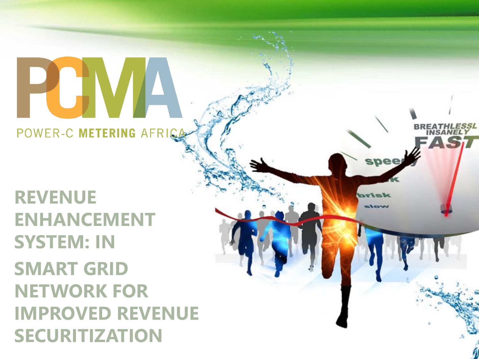# POWER-C METERING AFRIC

 $SMART$  GRID **THE I WURK FURNISH IN A POWER AND A POWER ASSESS in The Security Street Security Security Article**<br>Security Street Security Article **REVENUE ENHANCEMENT SYSTEM: IN NETWORK FOR IMPROVED REVENUE SECURITIZATION** 

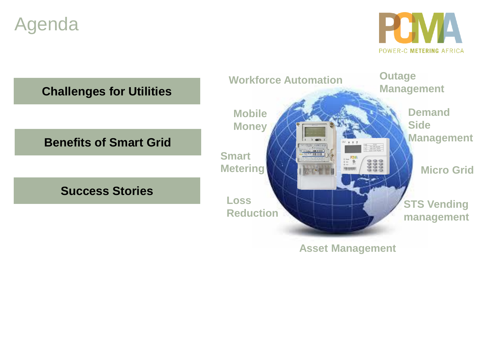## Agenda



**Challenges for Utilities**

#### **Benefits of Smart Grid**

#### **Success Stories**



**Asset Management**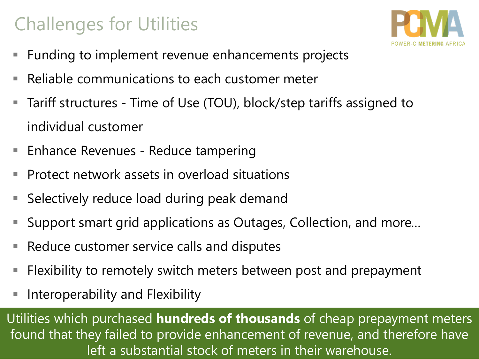## Challenges for Utilities



- Funding to implement revenue enhancements projects
- Reliable communications to each customer meter
- Tariff structures Time of Use (TOU), block/step tariffs assigned to individual customer
- **Enhance Revenues Reduce tampering**
- Protect network assets in overload situations
- Selectively reduce load during peak demand
- Support smart grid applications as Outages, Collection, and more...
- Reduce customer service calls and disputes
- Flexibility to remotely switch meters between post and prepayment
- Interoperability and Flexibility

Utilities which purchased **hundreds of thousands** of cheap prepayment meters found that they failed to provide enhancement of revenue, and therefore have left a substantial stock of meters in their warehouse.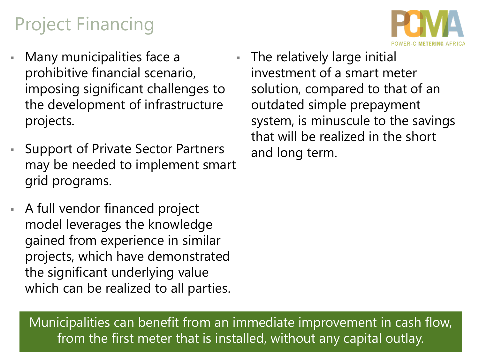## Project Financing

- Many municipalities face a prohibitive financial scenario, imposing significant challenges to the development of infrastructure projects.
- **Support of Private Sector Partners** may be needed to implement smart grid programs.
- A full vendor financed project model leverages the knowledge gained from experience in similar projects, which have demonstrated the significant underlying value which can be realized to all parties.

The relatively large initial investment of a smart meter solution, compared to that of an outdated simple prepayment system, is minuscule to the savings that will be realized in the short and long term.

Municipalities can benefit from an immediate improvement in cash flow, from the first meter that is installed, without any capital outlay.

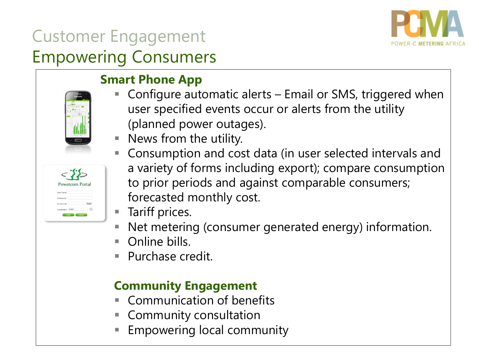

## Customer Engagement Empowering Consumers

#### **Smart Phone App**

- Configure automatic alerts Email or SMS, triggered when user specified events occur or alerts from the utility (planned power outages).
- **E** News from the utility.
- 
- Consumption and cost data (in user selected intervals and a variety of forms including export); compare consumption to prior periods and against comparable consumers; forecasted monthly cost.
- Tariff prices.
- Net metering (consumer generated energy) information.
- Online bills
- Purchase credit.

#### **Community Engagement**

- **Communication of benefits**
- **Community consultation**
- **Empowering local community**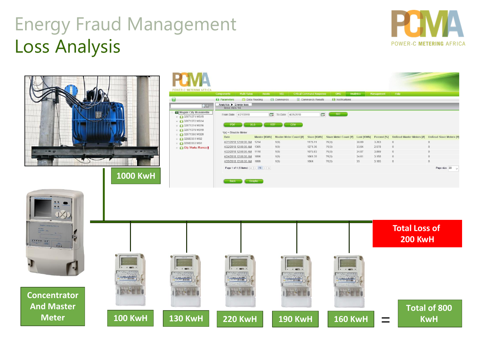## Energy Fraud Management Loss Analysis





**1000 KwH**

POV 0

 $\overline{6}$ 

| <b>VER-C METERING AFRICA</b>                    | <b>Multi Rates</b><br><b>Components</b>                                                                                                                                                        | Assets                   | VEE                           | <b>Critical Command Response</b> | <b>OMS</b>             | Analytics  | Management  | Help                     |                                |
|-------------------------------------------------|------------------------------------------------------------------------------------------------------------------------------------------------------------------------------------------------|--------------------------|-------------------------------|----------------------------------|------------------------|------------|-------------|--------------------------|--------------------------------|
|                                                 | <b>AA</b> Parameters                                                                                                                                                                           | <b>Data Reading</b>      | <b>Ed</b> Commands            | Commands Results                 | <b>A</b> Notifications |            |             |                          |                                |
| 气感                                              | Analytics ▶ Energy loss<br>loss m/s 14                                                                                                                                                         |                          |                               |                                  |                        |            |             |                          |                                |
| <b>Mogale City Munsieville</b><br>32071371 MS15 | From Date 4/21/2018                                                                                                                                                                            | 18TH                     | 4/25/2018<br>To Date          | <b>IES</b>                       | GO                     |            |             |                          |                                |
| 32071372 MS14<br>32071374 MS16                  | <b>PDF</b>                                                                                                                                                                                     | <b>XLS</b><br><b>RTF</b> | CSV                           |                                  |                        |            |             |                          |                                |
| 32071379 MS19<br>32071380 MS20                  | $*(x)$ = Disable Meter                                                                                                                                                                         |                          |                               |                                  |                        |            |             |                          |                                |
| 32083351 MS2                                    | Date                                                                                                                                                                                           | Master [KWh]             | <b>Master Meter Count [#]</b> | Slave [KWh]                      | Slave Meter Count [#]  | Lost [KWh] | Percent [%] | UnRead Master Meters [#] | <b>UnRead Slave Meters [#]</b> |
| 32083353 MS1                                    | 4/21/2018 12:00:00 AM                                                                                                                                                                          | 1214                     | 1(0)                          | 1175.11                          | 76(0)                  | 38.89      | 3.203       | $\mathbf{0}$             | $\mathbf{0}$                   |
| <b>City Works /Romco</b>                        | 4/22/2018 12:00:00 AM                                                                                                                                                                          | 1305                     | 1(0)                          | 1271.36                          | 76(0)                  | 33.64      | 2.578       | $\bf{0}$                 | $\theta$                       |
|                                                 | 4/23/2018 12:00:00 AM                                                                                                                                                                          | 1110                     | 1(0)                          | 1075.93                          | 76(0)                  | 34.07      | 3.069       | $\boldsymbol{0}$         | $\theta$                       |
|                                                 | 4/24/2018 12:00:00 AM                                                                                                                                                                          | 1096                     | 1(0)                          | 1061.39                          | 76(0)                  | 34.61      | 3.158       | $\overline{0}$           | $\theta$                       |
|                                                 | 4/25/2018 12:00:00 AM                                                                                                                                                                          | 1099                     | 1(0)                          | 1064                             | 76(0)                  | 35         | 3.185       | $\mathbf{0}$             | $\mathbf{0}$                   |
|                                                 | Page 1 of 1 (5 items) $\overline{\left \left \left \left \right \right \right }$ $\left \left \right \right $ $\Rightarrow$ $\overline{\left \right \right }$<br>Page size: 20<br>$\checkmark$ |                          |                               |                                  |                        |            |             |                          |                                |
|                                                 | <b>Back</b>                                                                                                                                                                                    | Graphs                   |                               |                                  |                        |            |             |                          |                                |

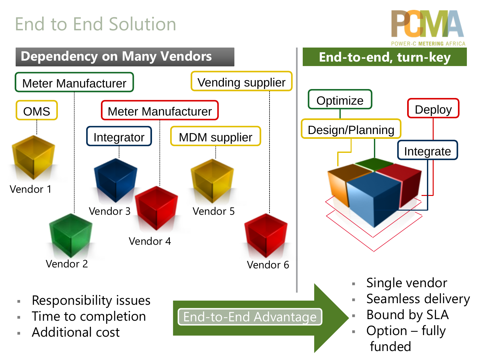## End to End Solution



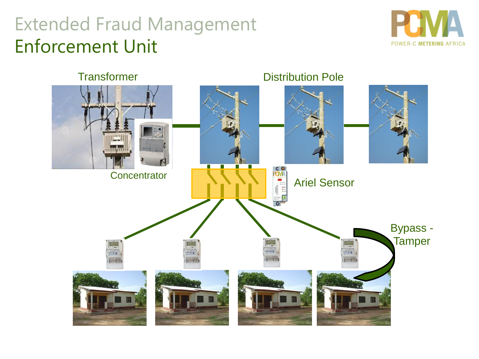## Extended Fraud Management Enforcement Unit



**Transformer** Distribution Pole **EO**<br>**RUVA Concentrator** Ariel SensorBypass - **Tamper**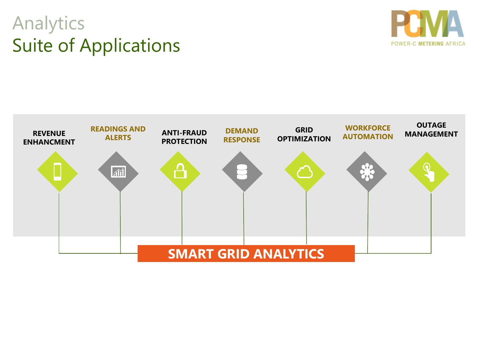## Analytics Suite of Applications



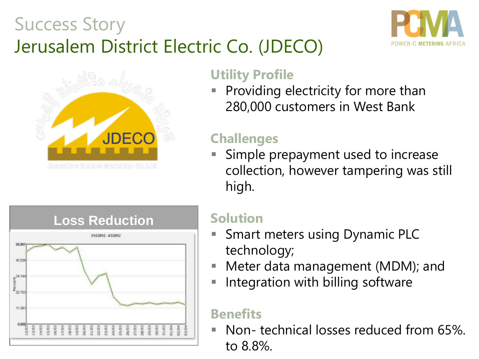## Success Story Jerusalem District Electric Co. (JDECO)





#### **Utility Profile**

Providing electricity for more than 280,000 customers in West Bank

## **Challenges**

Simple prepayment used to increase collection, however tampering was still high.



#### **Solution**

- Smart meters using Dynamic PLC technology;
- Meter data management (MDM); and
- **E** Integration with billing software

### **Benefits**

Non- technical losses reduced from 65%. to 8.8%.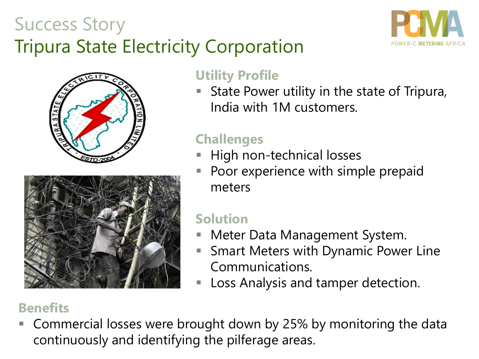## Success Story Tripura State Electricity Corporation







#### **Utility Profile**

State Power utility in the state of Tripura, India with 1M customers.

## **Challenges**

- **High non-technical losses**
- Poor experience with simple prepaid meters

## **Solution**

- Meter Data Management System.
- Smart Meters with Dynamic Power Line Communications.
- Loss Analysis and tamper detection.

### **Benefits**

Commercial losses were brought down by 25% by monitoring the data continuously and identifying the pilferage areas.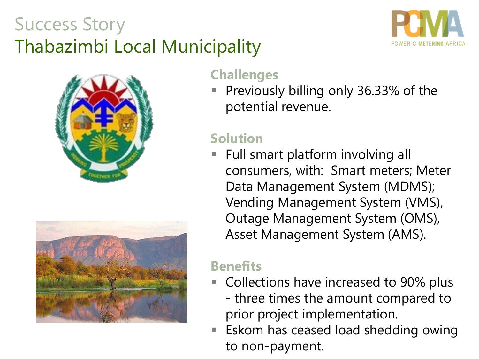## Success Story Thabazimbi Local Municipality







#### **Challenges**

Previously billing only 36.33% of the potential revenue.

### **Solution**

Full smart platform involving all consumers, with: Smart meters; Meter Data Management System (MDMS); Vending Management System (VMS), Outage Management System (OMS), Asset Management System (AMS).

#### **Benefits**

- Collections have increased to 90% plus - three times the amount compared to prior project implementation.
- **Eskom has ceased load shedding owing** to non-payment.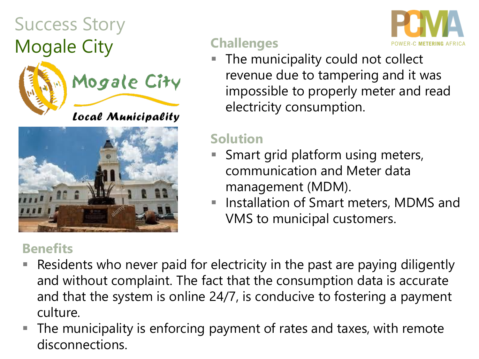## Success Story Mogale City **Challenges**



Mogale City

Local Municipality



#### **Benefits**



impossible to properly meter and read electricity consumption.

#### **Solution**

- Smart grid platform using meters, communication and Meter data management (MDM).
- Installation of Smart meters, MDMS and VMS to municipal customers.
- Residents who never paid for electricity in the past are paying diligently and without complaint. The fact that the consumption data is accurate and that the system is online 24/7, is conducive to fostering a payment culture.
- The municipality is enforcing payment of rates and taxes, with remote disconnections.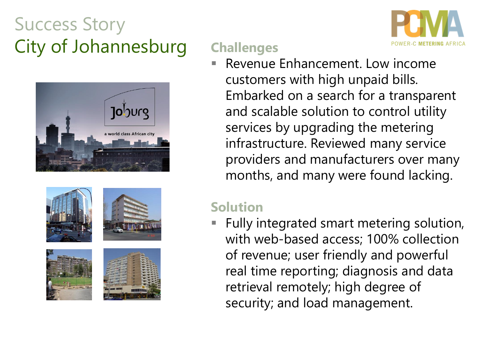## Success Story City of Johannesburg **Challenges**











Revenue Enhancement. Low income customers with high unpaid bills. Embarked on a search for a transparent and scalable solution to control utility services by upgrading the metering infrastructure. Reviewed many service providers and manufacturers over many months, and many were found lacking.

#### **Solution**

Fully integrated smart metering solution, with web-based access; 100% collection of revenue; user friendly and powerful real time reporting; diagnosis and data retrieval remotely; high degree of security; and load management.

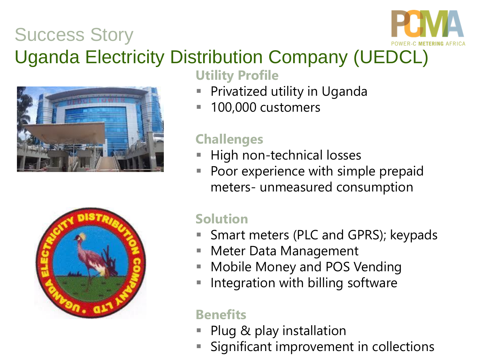## Success Story



## Uganda Electricity Distribution Company (UEDCL)





**Utility Profile** 

- Privatized utility in Uganda
- 100,000 customers

### **Challenges**

- High non-technical losses
- Poor experience with simple prepaid meters- unmeasured consumption

## **Solution**

- Smart meters (PLC and GPRS); keypads
- Meter Data Management
- **E** Mobile Money and POS Vending
- Integration with billing software

## **Benefits**

- Plug & play installation
- Significant improvement in collections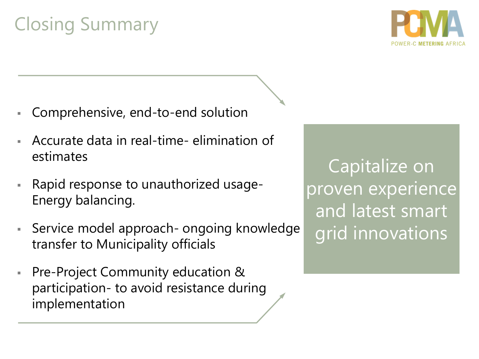## Closing Summary



- Comprehensive, end-to-end solution
- Accurate data in real-time- elimination of estimates
- Rapid response to unauthorized usage-Energy balancing.
- **EXECT** Service model approach- ongoing knowledge transfer to Municipality officials
- Pre-Project Community education & participation- to avoid resistance during implementation

Capitalize on proven experience and latest smart grid innovations